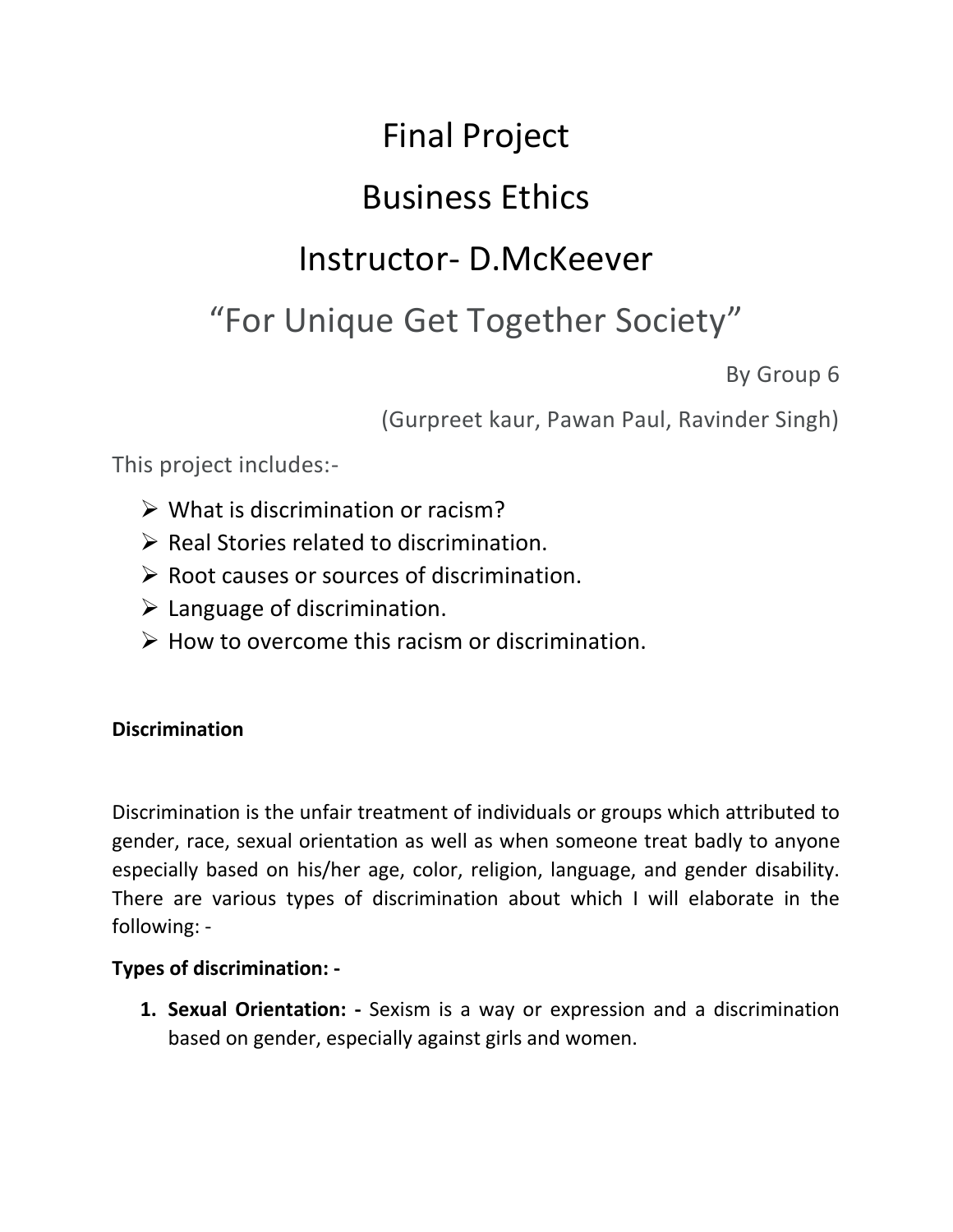# Final Project

# Business Ethics

# Instructor- D.McKeever

# "For Unique Get Together Society"

By Group 6

(Gurpreet kaur, Pawan Paul, Ravinder Singh)

This project includes:-

- ➢ What is discrimination or racism?
- ➢ Real Stories related to discrimination.
- $\triangleright$  Root causes or sources of discrimination.
- $\triangleright$  Language of discrimination.
- $\triangleright$  How to overcome this racism or discrimination.

### **Discrimination**

Discrimination is the unfair treatment of individuals or groups which attributed to gender, race, sexual orientation as well as when someone treat badly to anyone especially based on his/her age, color, religion, language, and gender disability. There are various types of discrimination about which I will elaborate in the following: -

#### **Types of discrimination: -**

**1. Sexual Orientation: -** Sexism is a way or expression and a discrimination based on gender, especially against girls and women.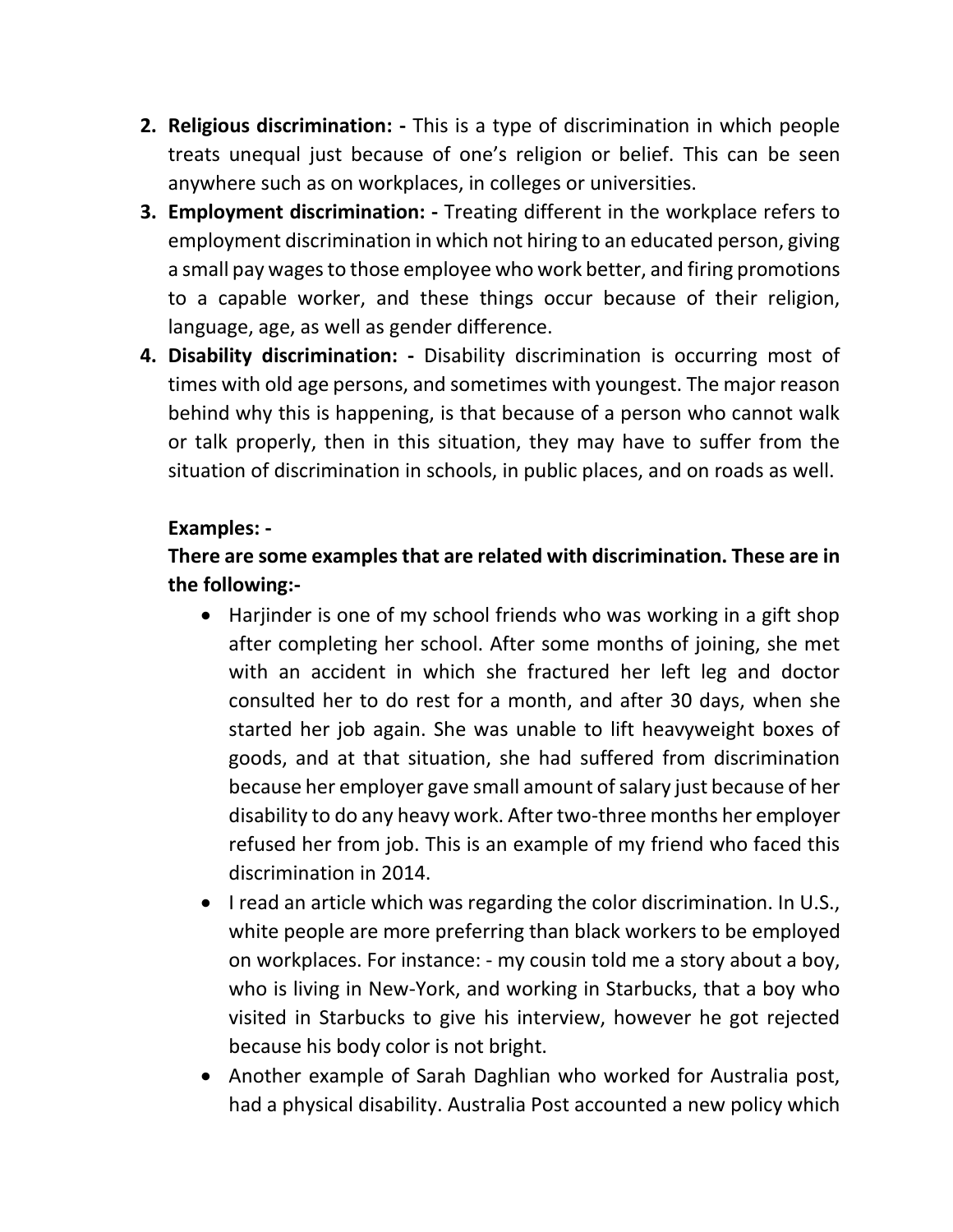- **2. Religious discrimination: -** This is a type of discrimination in which people treats unequal just because of one's religion or belief. This can be seen anywhere such as on workplaces, in colleges or universities.
- **3. Employment discrimination: -** Treating different in the workplace refers to employment discrimination in which not hiring to an educated person, giving a small pay wages to those employee who work better, and firing promotions to a capable worker, and these things occur because of their religion, language, age, as well as gender difference.
- **4. Disability discrimination: -** Disability discrimination is occurring most of times with old age persons, and sometimes with youngest. The major reason behind why this is happening, is that because of a person who cannot walk or talk properly, then in this situation, they may have to suffer from the situation of discrimination in schools, in public places, and on roads as well.

#### **Examples: -**

### **There are some examples that are related with discrimination. These are in the following:-**

- Harjinder is one of my school friends who was working in a gift shop after completing her school. After some months of joining, she met with an accident in which she fractured her left leg and doctor consulted her to do rest for a month, and after 30 days, when she started her job again. She was unable to lift heavyweight boxes of goods, and at that situation, she had suffered from discrimination because her employer gave small amount of salary just because of her disability to do any heavy work. After two-three months her employer refused her from job. This is an example of my friend who faced this discrimination in 2014.
- I read an article which was regarding the color discrimination. In U.S., white people are more preferring than black workers to be employed on workplaces. For instance: - my cousin told me a story about a boy, who is living in New-York, and working in Starbucks, that a boy who visited in Starbucks to give his interview, however he got rejected because his body color is not bright.
- Another example of Sarah Daghlian who worked for Australia post, had a physical disability. Australia Post accounted a new policy which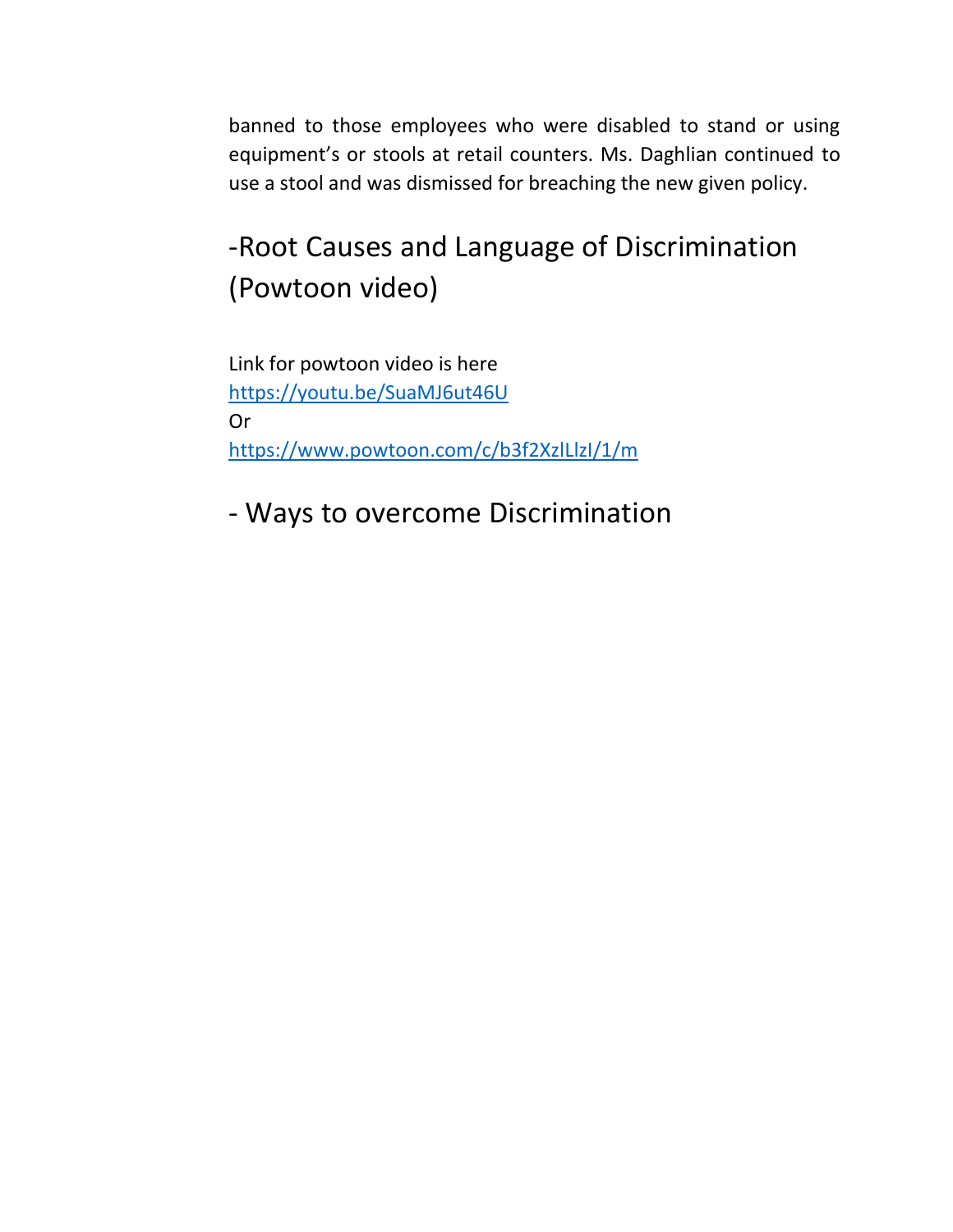banned to those employees who were disabled to stand or using equipment's or stools at retail counters. Ms. Daghlian continued to use a stool and was dismissed for breaching the new given policy.

## -Root Causes and Language of Discrimination (Powtoon video)

Link for powtoon video is here <https://youtu.be/SuaMJ6ut46U> Or <https://www.powtoon.com/c/b3f2XzlLlzI/1/m>

- Ways to overcome Discrimination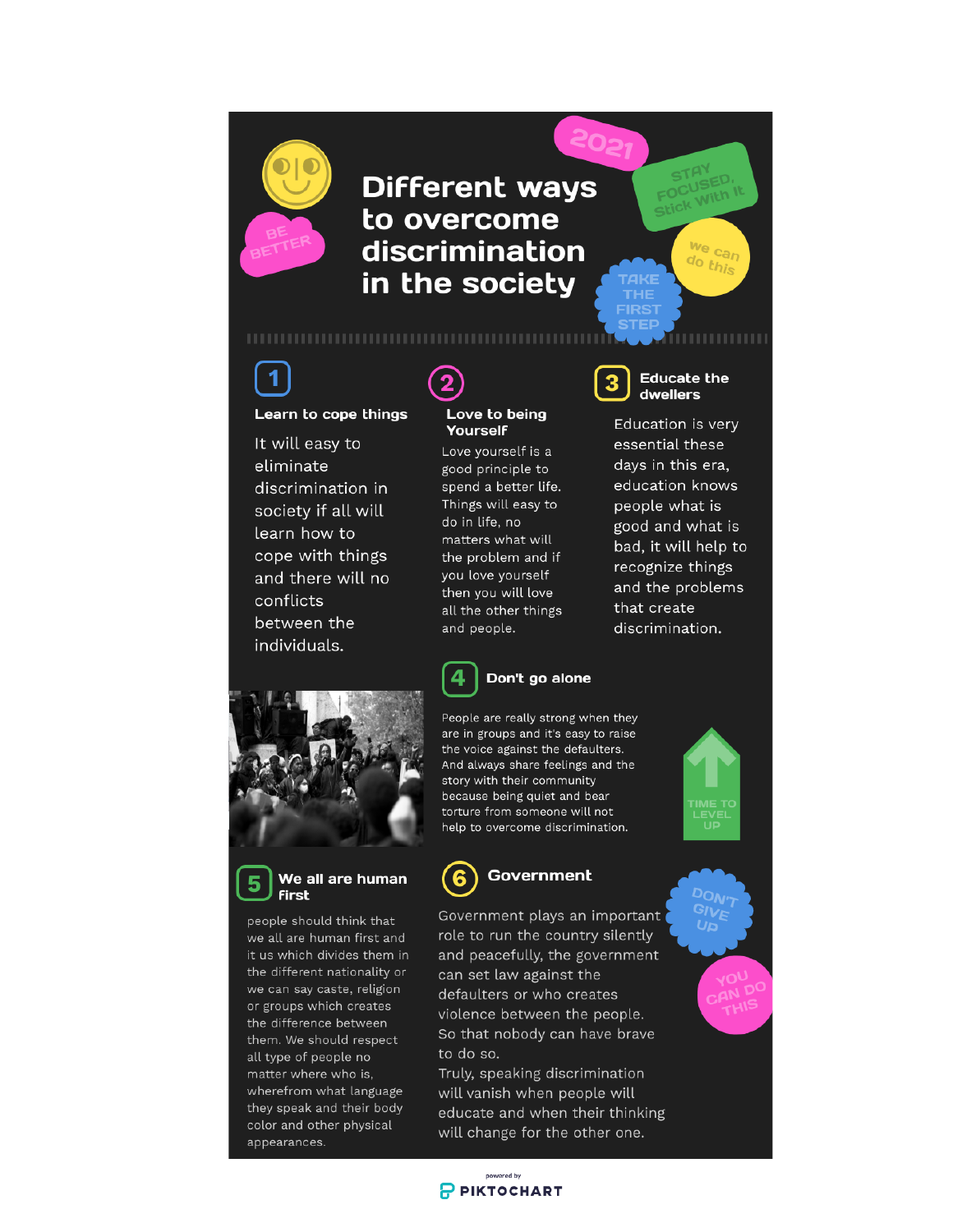

1

Learn to cope things

It will easy to

discrimination in

society if all will

cope with things

and there will no

learn how to

between the

individuals.

conflicts

eliminate

**Different ways** to overcome discrimination in the society



Love to being

Love yourself is a

good principle to spend a better life.

Things will easy to

matters what will

the problem and if

you love yourself

then you will love

all the other things

do in life, no

and people.

4

Yourself

#### **Educate the** dwellers

Nith

we can

do this

,,,,,,,,,,,,

Education is very essential these days in this era, education knows people what is good and what is bad, it will help to recognize things and the problems that create discrimination.





people should think that we all are human first and it us which divides them in the different nationality or we can say caste, religion or groups which creates the difference between them. We should respect all type of people no matter where who is, wherefrom what language they speak and their body color and other physical appearances.



Don't go alone

People are really strong when they are in groups and it's easy to raise the voice against the defaulters. And always share feelings and the story with their community because being quiet and bear torture from someone will not help to overcome discrimination.

Government plays an important role to run the country silently and peacefully, the government can set law against the defaulters or who creates violence between the people. So that nobody can have brave to do so.

Truly, speaking discrimination will vanish when people will educate and when their thinking will change for the other one.







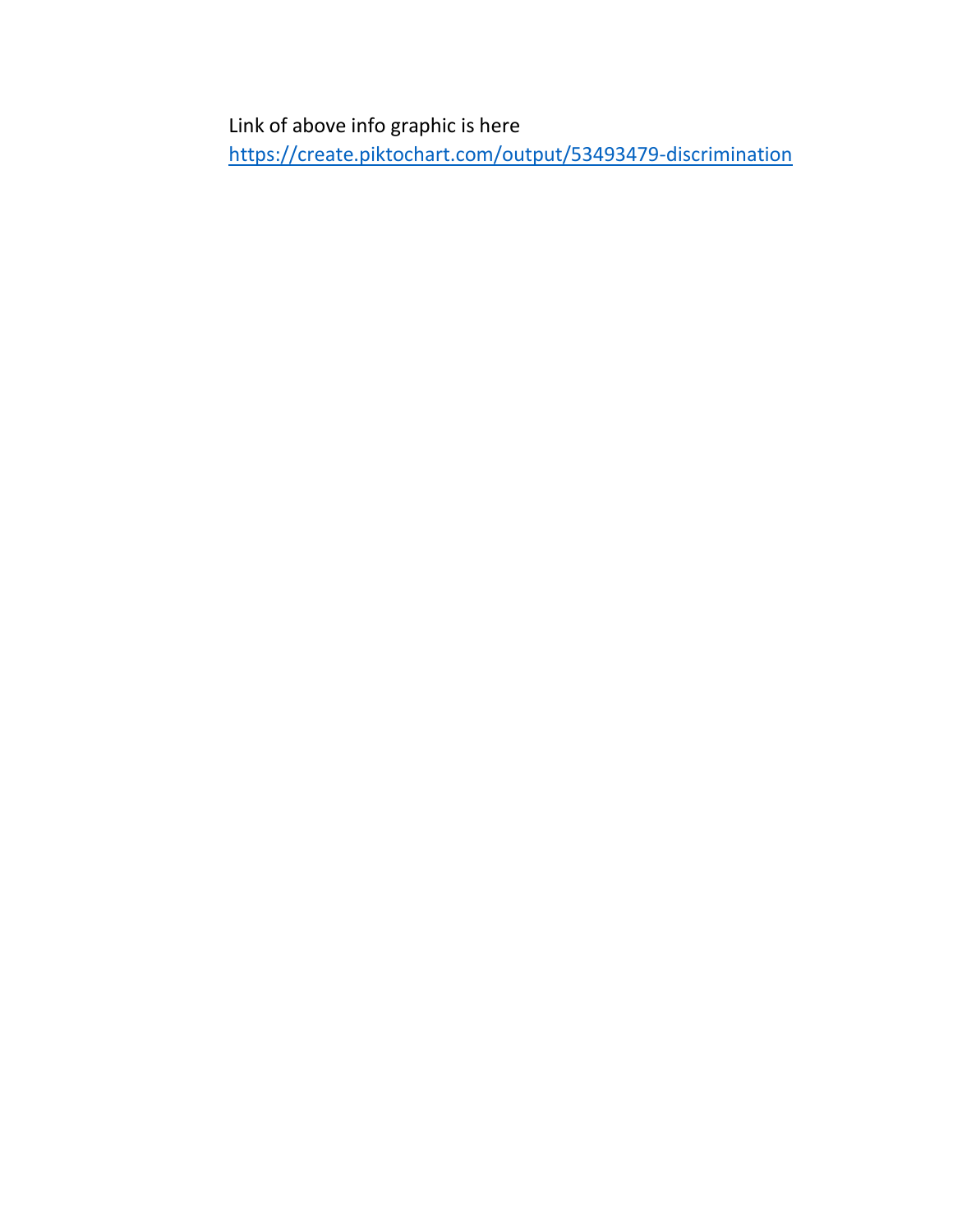Link of above info graphic is here <https://create.piktochart.com/output/53493479-discrimination>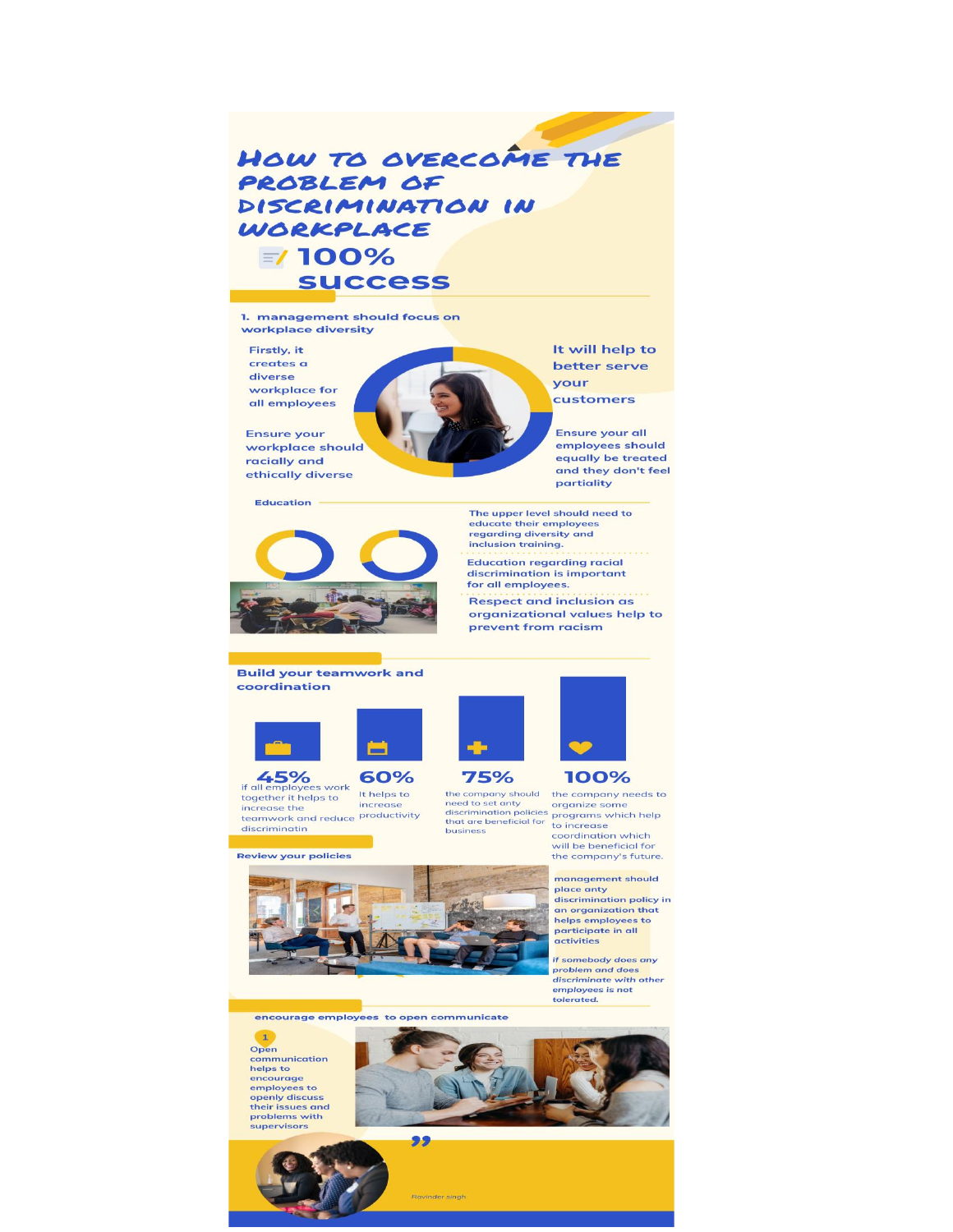## HOW TO OVERCOME THE PROBLEM OF DISCRIMINATION IN WORKPLACE  $= 100%$ **SUCCESS**

1. management should focus on workplace diversity

Firstly, it creates a diverse workplace for all employees

**Ensure your** workplace should racially and ethically diverse

#### **Education**



It will help to better serve your

customers

**Ensure your all** employees should equally be treated and they don't feel partiality

The upper level should need to educate their employees regarding diversity and inclusion training.

**Education regarding racial** discrimination is important for all employees.

**Respect and inclusion as** organizational values help to prevent from racism

#### **Build your teamwork and** coordination





**ED**<br>if all employees work<br>together it helps to es work<br>
thelps to increase increase the teamwork and reduce productivity discriminatin

**Review your policies** 



need to set anty discrimination pointer programs<br>that are beneficial for to increase business



the company's future. management should place anty **discrimination policy in** an organization that<br>helps employees to

participate in all activities

if somebody does any<br>problem and does discriminate with other employees is not tolerated.

encourage employees to open communicate

 $\mathbf{1}$ Open communication<br>helps to encourage employees to<br>openly discuss their issues and<br>problems with<br>supervisors